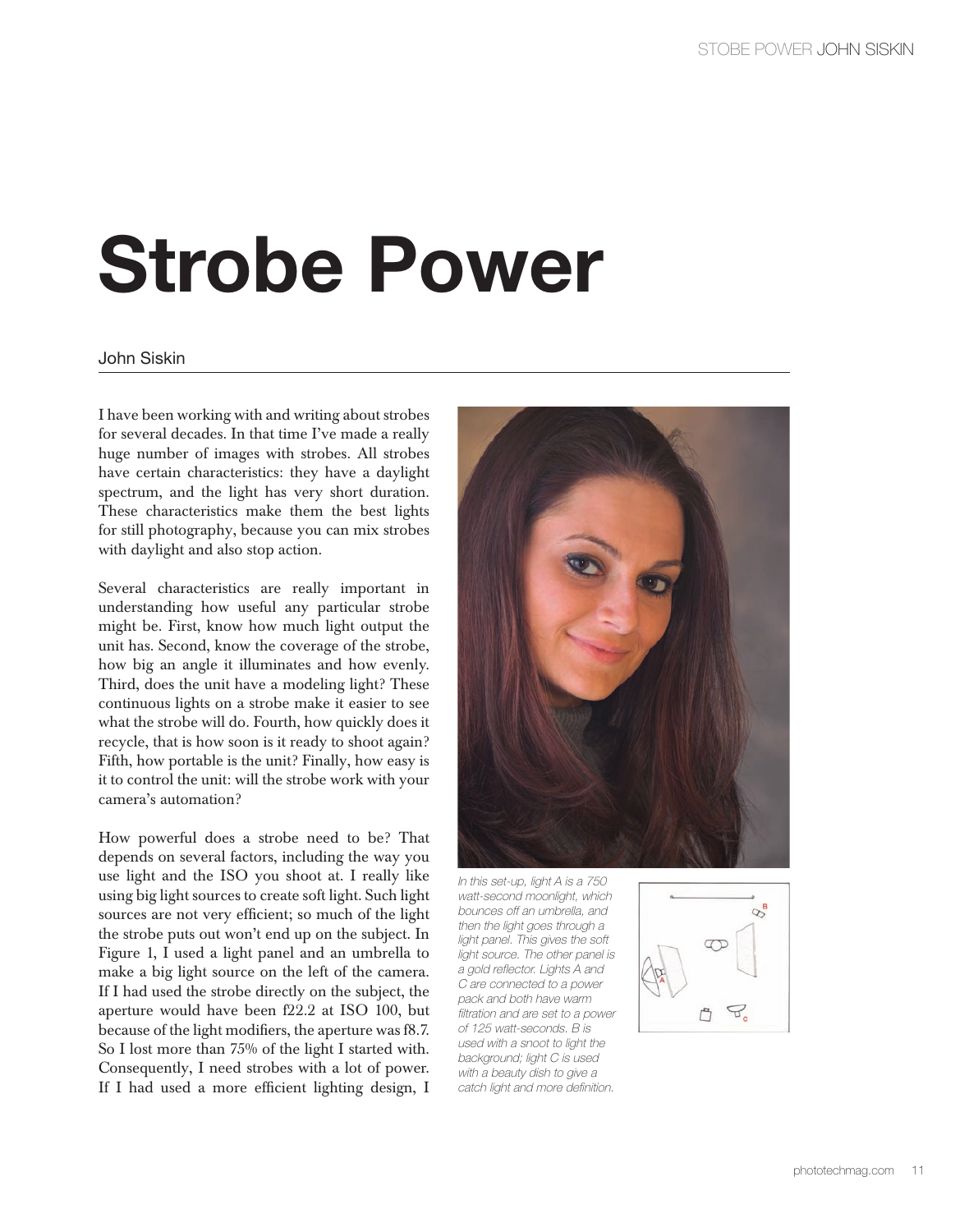## **Strobe Power**

## John Siskin

I have been working with and writing about strobes for several decades. In that time I've made a really huge number of images with strobes. All strobes have certain characteristics: they have a daylight spectrum, and the light has very short duration. These characteristics make them the best lights for still photography, because you can mix strobes with daylight and also stop action.

Several characteristics are really important in understanding how useful any particular strobe might be. First, know how much light output the unit has. Second, know the coverage of the strobe, how big an angle it illuminates and how evenly. Third, does the unit have a modeling light? These continuous lights on a strobe make it easier to see what the strobe will do. Fourth, how quickly does it recycle, that is how soon is it ready to shoot again? Fifth, how portable is the unit? Finally, how easy is it to control the unit: will the strobe work with your camera's automation?

How powerful does a strobe need to be? That depends on several factors, including the way you use light and the ISO you shoot at. I really like using big light sources to create soft light. Such light sources are not very efficient; so much of the light the strobe puts out won't end up on the subject. In Figure 1, I used a light panel and an umbrella to make a big light source on the left of the camera. If I had used the strobe directly on the subject, the aperture would have been f22.2 at ISO 100, but because of the light modifiers, the aperture was f8.7. So I lost more than 75% of the light I started with. Consequently, I need strobes with a lot of power. If I had used a more efficient lighting design, I



In this set-up, light A is a 750 watt-second moonlight, which bounces off an umbrella, and then the light goes through a light panel. This gives the soft light source. The other panel is a gold reflector. Lights A and C are connected to a power pack and both have warm filtration and are set to a power of 125 watt-seconds. B is used with a snoot to light the background; light C is used with a beauty dish to give a catch light and more definition.

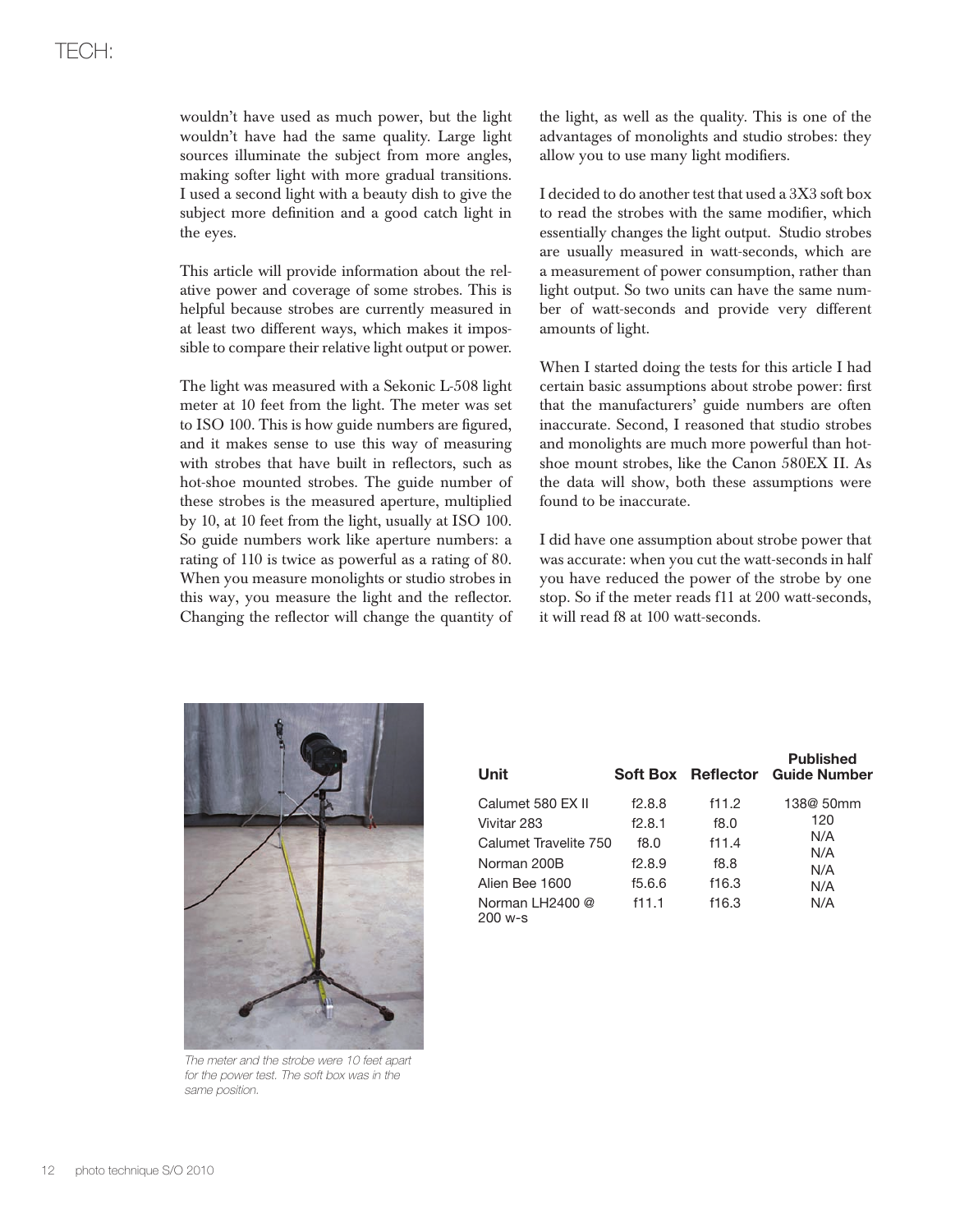wouldn't have used as much power, but the light wouldn't have had the same quality. Large light sources illuminate the subject from more angles, making softer light with more gradual transitions. I used a second light with a beauty dish to give the subject more definition and a good catch light in the eyes.

This article will provide information about the relative power and coverage of some strobes. This is helpful because strobes are currently measured in at least two different ways, which makes it impossible to compare their relative light output or power.

The light was measured with a Sekonic L-508 light meter at 10 feet from the light. The meter was set to ISO 100. This is how guide numbers are figured, and it makes sense to use this way of measuring with strobes that have built in reflectors, such as hot-shoe mounted strobes. The guide number of these strobes is the measured aperture, multiplied by 10, at 10 feet from the light, usually at ISO 100. So guide numbers work like aperture numbers: a rating of 110 is twice as powerful as a rating of 80. When you measure monolights or studio strobes in this way, you measure the light and the reflector. Changing the reflector will change the quantity of the light, as well as the quality. This is one of the advantages of monolights and studio strobes: they allow you to use many light modifiers.

I decided to do another test that used a 3X3 soft box to read the strobes with the same modifier, which essentially changes the light output. Studio strobes are usually measured in watt-seconds, which are a measurement of power consumption, rather than light output. So two units can have the same number of watt-seconds and provide very different amounts of light.

When I started doing the tests for this article I had certain basic assumptions about strobe power: first that the manufacturers' guide numbers are often inaccurate. Second, I reasoned that studio strobes and monolights are much more powerful than hotshoe mount strobes, like the Canon 580EX II. As the data will show, both these assumptions were found to be inaccurate.

I did have one assumption about strobe power that was accurate: when you cut the watt-seconds in half you have reduced the power of the strobe by one stop. So if the meter reads f11 at 200 watt-seconds, it will read f8 at 100 watt-seconds.



The meter and the strobe were 10 feet apart for the power test. The soft box was in the same position.

| Unit                           |        |       | <b>Published</b><br>Soft Box Reflector Guide Number |
|--------------------------------|--------|-------|-----------------------------------------------------|
| Calumet 580 EX II              | f2.8.8 | f11.2 | 138@ 50mm                                           |
| Vivitar 283                    | f2.8.1 | f8.0  | 120                                                 |
| Calumet Travelite 750          | f8.0   | f11.4 | N/A                                                 |
| Norman 200B                    | f2.8.9 | f8.8  | N/A<br>N/A                                          |
| Alien Bee 1600                 | f5.6.6 | f16.3 | N/A                                                 |
| Norman LH2400 $@$<br>$200 w-s$ | f11.1  | f16.3 | N/A                                                 |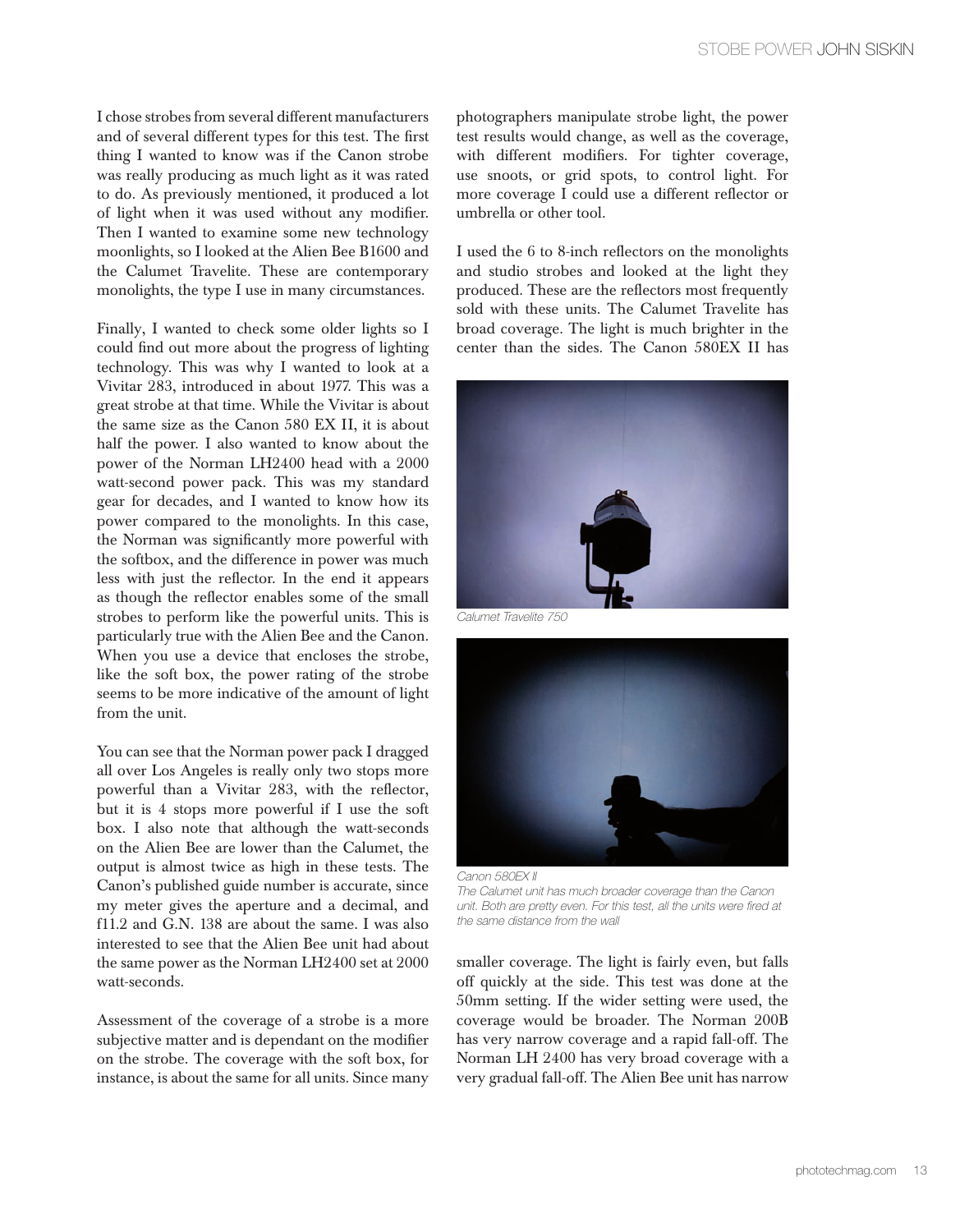I chose strobes from several different manufacturers and of several different types for this test. The first thing I wanted to know was if the Canon strobe was really producing as much light as it was rated to do. As previously mentioned, it produced a lot of light when it was used without any modifier. Then I wanted to examine some new technology moonlights, so I looked at the Alien Bee B1600 and the Calumet Travelite. These are contemporary monolights, the type I use in many circumstances.

Finally, I wanted to check some older lights so I could find out more about the progress of lighting technology. This was why I wanted to look at a Vivitar 283, introduced in about 1977. This was a great strobe at that time. While the Vivitar is about the same size as the Canon 580 EX II, it is about half the power. I also wanted to know about the power of the Norman LH2400 head with a 2000 watt-second power pack. This was my standard gear for decades, and I wanted to know how its power compared to the monolights. In this case, the Norman was significantly more powerful with the softbox, and the difference in power was much less with just the reflector. In the end it appears as though the reflector enables some of the small strobes to perform like the powerful units. This is particularly true with the Alien Bee and the Canon. When you use a device that encloses the strobe, like the soft box, the power rating of the strobe seems to be more indicative of the amount of light from the unit.

You can see that the Norman power pack I dragged all over Los Angeles is really only two stops more powerful than a Vivitar 283, with the reflector, but it is 4 stops more powerful if I use the soft box. I also note that although the watt-seconds on the Alien Bee are lower than the Calumet, the output is almost twice as high in these tests. The Canon's published guide number is accurate, since my meter gives the aperture and a decimal, and f11.2 and G.N. 138 are about the same. I was also interested to see that the Alien Bee unit had about the same power as the Norman LH2400 set at 2000 watt-seconds.

Assessment of the coverage of a strobe is a more subjective matter and is dependant on the modifier on the strobe. The coverage with the soft box, for instance, is about the same for all units. Since many photographers manipulate strobe light, the power test results would change, as well as the coverage, with different modifiers. For tighter coverage, use snoots, or grid spots, to control light. For more coverage I could use a different reflector or umbrella or other tool.

I used the 6 to 8-inch reflectors on the monolights and studio strobes and looked at the light they produced. These are the reflectors most frequently sold with these units. The Calumet Travelite has broad coverage. The light is much brighter in the center than the sides. The Canon 580EX II has



Calumet Travelite 750



Canon 580EX II The Calumet unit has much broader coverage than the Canon unit. Both are pretty even. For this test, all the units were fired at the same distance from the wall

smaller coverage. The light is fairly even, but falls off quickly at the side. This test was done at the 50mm setting. If the wider setting were used, the coverage would be broader. The Norman 200B has very narrow coverage and a rapid fall-off. The Norman LH 2400 has very broad coverage with a very gradual fall-off. The Alien Bee unit has narrow